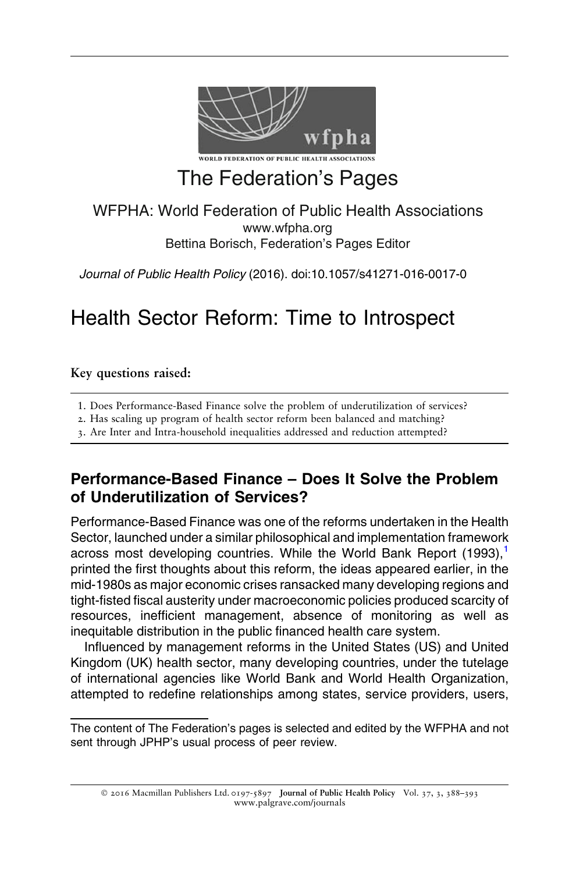

# The Federation's Pages

#### WFPHA: World Federation of Public Health Associations www.wfpha.org Bettina Borisch, Federation's Pages Editor

Journal of Public Health Policy (2016). doi:10.1057/s41271-016-0017-0

## Health Sector Reform: Time to Introspect

Key questions raised:

1. Does Performance-Based Finance solve the problem of underutilization of services?

2. Has scaling up program of health sector reform been balanced and matching?

3. Are Inter and Intra-household inequalities addressed and reduction attempted?

## Performance-Based Finance – Does It Solve the Problem of Underutilization of Services?

Performance-Based Finance was one of the reforms undertaken in the Health Sector, launched under a similar philosophical and implementation framework across most developing countries. While the World Bank Report ([1](#page-5-0)993),<sup>1</sup> printed the first thoughts about this reform, the ideas appeared earlier, in the mid-1980s as major economic crises ransacked many developing regions and tight-fisted fiscal austerity under macroeconomic policies produced scarcity of resources, inefficient management, absence of monitoring as well as inequitable distribution in the public financed health care system.

Influenced by management reforms in the United States (US) and United Kingdom (UK) health sector, many developing countries, under the tutelage of international agencies like World Bank and World Health Organization, attempted to redefine relationships among states, service providers, users,

© 2016 Macmillan Publishers Ltd. 0197-5897 Journal of Public Health Policy Vol. 37, 3, 388–393 www.palgrave.com/journals

The content of The Federation's pages is selected and edited by the WFPHA and not sent through JPHP's usual process of peer review.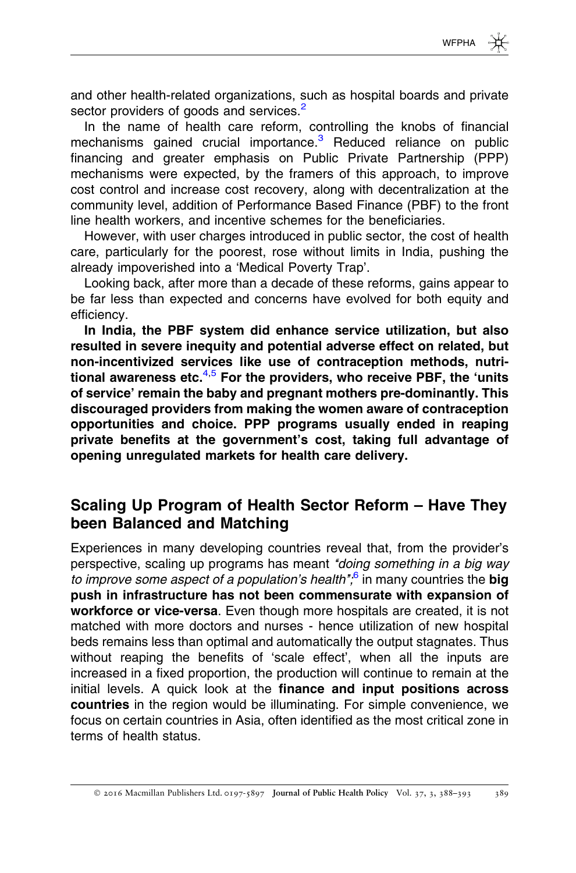and other health-related organizations, such as hospital boards and private sector providers of goods and services.<sup>[2](#page-5-0)</sup>

In the name of health care reform, controlling the knobs of financial mechanisms gained crucial importance.<sup>[3](#page-5-0)</sup> Reduced reliance on public financing and greater emphasis on Public Private Partnership (PPP) mechanisms were expected, by the framers of this approach, to improve cost control and increase cost recovery, along with decentralization at the community level, addition of Performance Based Finance (PBF) to the front line health workers, and incentive schemes for the beneficiaries.

However, with user charges introduced in public sector, the cost of health care, particularly for the poorest, rose without limits in India, pushing the already impoverished into a 'Medical Poverty Trap'.

Looking back, after more than a decade of these reforms, gains appear to be far less than expected and concerns have evolved for both equity and efficiency.

In India, the PBF system did enhance service utilization, but also resulted in severe inequity and potential adverse effect on related, but non-incentivized services like use of contraception methods, nutritional awareness etc. $4,5$  For the providers, who receive PBF, the 'units of service' remain the baby and pregnant mothers pre-dominantly. This discouraged providers from making the women aware of contraception opportunities and choice. PPP programs usually ended in reaping private benefits at the government's cost, taking full advantage of opening unregulated markets for health care delivery.

### Scaling Up Program of Health Sector Reform – Have They been Balanced and Matching

Experiences in many developing countries reveal that, from the provider's perspective, scaling up programs has meant "doing something in a big way to improve some aspect of a population's health $\frac{1}{6}$  $\frac{1}{6}$  $\frac{1}{6}$  in many countries the big push in infrastructure has not been commensurate with expansion of workforce or vice-versa. Even though more hospitals are created, it is not matched with more doctors and nurses - hence utilization of new hospital beds remains less than optimal and automatically the output stagnates. Thus without reaping the benefits of 'scale effect', when all the inputs are increased in a fixed proportion, the production will continue to remain at the initial levels. A quick look at the finance and input positions across countries in the region would be illuminating. For simple convenience, we focus on certain countries in Asia, often identified as the most critical zone in terms of health status.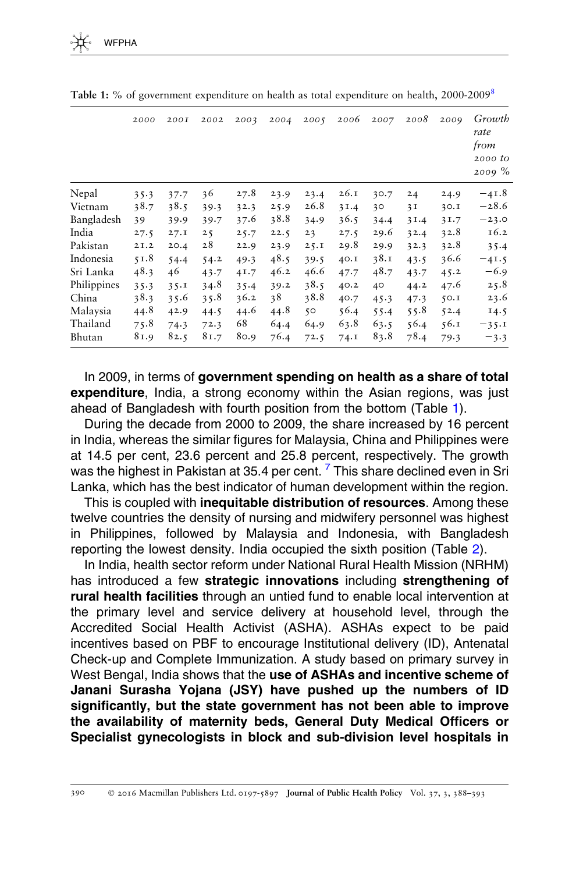|             | 2000 | <b>200I</b> | 2002 | 2003 | 2004 | 2005        | 2006 | 2007 | 2008 | 2009 | Growth<br>rate<br>from<br>2000 to<br>$2009\%$ |
|-------------|------|-------------|------|------|------|-------------|------|------|------|------|-----------------------------------------------|
| Nepal       | 35.3 | 37.7        | 36   | 27.8 | 23.9 | 23.4        | 26.1 | 30.7 | 24   | 24.9 | $-41.8$                                       |
| Vietnam     | 38.7 | 38.5        | 39.3 | 32.3 | 25.9 | 26.8        | 31.4 | 30   | 3I   | 30.1 | $-28.6$                                       |
| Bangladesh  | 39   | 39.9        | 39.7 | 37.6 | 38.8 | 34.9        | 36.5 | 34.4 | 31.4 | 31.7 | $-23.0$                                       |
| India       | 27.5 | 27.1        | 25   | 25.7 | 22.5 | 23          | 27.5 | 29.6 | 32.4 | 32.8 | 16.2                                          |
| Pakistan    | 2I.2 | 20.4        | 28   | 22.9 | 23.9 | 25.1        | 29.8 | 29.9 | 32.3 | 32.8 | 35.4                                          |
| Indonesia   | 51.8 | 54.4        | 54.2 | 49.3 | 48.5 | 39.5        | 40.I | 38.1 | 43.5 | 36.6 | $-41.5$                                       |
| Sri Lanka   | 48.3 | 46          | 43.7 | 41.7 | 46.2 | 46.6        | 47.7 | 48.7 | 43.7 | 45.2 | $-6.9$                                        |
| Philippines | 35.3 | 35.1        | 34.8 | 35.4 | 39.2 | 38.5        | 40.2 | 40   | 44.2 | 47.6 | 25.8                                          |
| China       | 38.3 | 35.6        | 35.8 | 36.2 | 38   | 38.8        | 40.7 | 45.3 | 47.3 | 50.1 | 23.6                                          |
| Malaysia    | 44.8 | 42.9        | 44.5 | 44.6 | 44.8 | $5^{\circ}$ | 56.4 | 55.4 | 55.8 | 52.4 | 14.5                                          |
| Thailand    | 75.8 | 74.3        | 72.3 | 68   | 64.4 | 64.9        | 63.8 | 63.5 | 56.4 | 56.1 | $-35.1$                                       |
| Bhutan      | 81.9 | 82.5        | 81.7 | 80.9 | 76.4 | 72.5        | 74.I | 83.8 | 78.4 | 79.3 | $-3.3$                                        |

Table 1: % of government expenditure on health as total expenditure on health, 2000-2009[8](#page-5-0)

In 2009, in terms of government spending on health as a share of total expenditure, India, a strong economy within the Asian regions, was just ahead of Bangladesh with fourth position from the bottom (Table 1).

During the decade from 2000 to 2009, the share increased by 16 percent in India, whereas the similar figures for Malaysia, China and Philippines were at 14.5 per cent, 23.6 percent and 25.8 percent, respectively. The growth was the highest in Pakistan at 35.4 per cent.<sup>[7](#page-5-0)</sup> This share declined even in Sri Lanka, which has the best indicator of human development within the region.

This is coupled with **inequitable distribution of resources**. Among these twelve countries the density of nursing and midwifery personnel was highest in Philippines, followed by Malaysia and Indonesia, with Bangladesh reporting the lowest density. India occupied the sixth position (Table [2](#page-3-0)).

In India, health sector reform under National Rural Health Mission (NRHM) has introduced a few strategic innovations including strengthening of rural health facilities through an untied fund to enable local intervention at the primary level and service delivery at household level, through the Accredited Social Health Activist (ASHA). ASHAs expect to be paid incentives based on PBF to encourage Institutional delivery (ID), Antenatal Check-up and Complete Immunization. A study based on primary survey in West Bengal, India shows that the use of ASHAs and incentive scheme of Janani Surasha Yojana (JSY) have pushed up the numbers of ID significantly, but the state government has not been able to improve the availability of maternity beds, General Duty Medical Officers or Specialist gynecologists in block and sub-division level hospitals in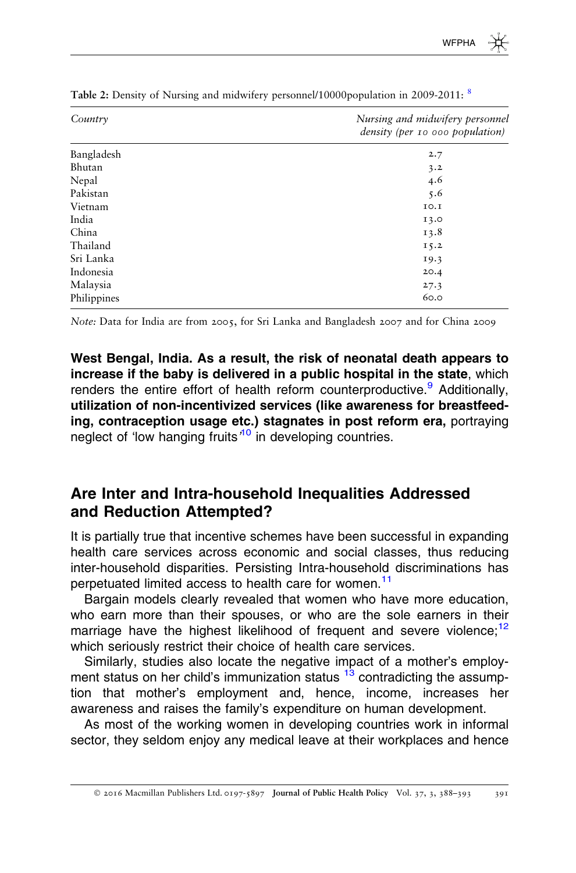| Country     | Nursing and midwifery personnel<br>density (per 10 000 population) |
|-------------|--------------------------------------------------------------------|
| Bangladesh  | 2.7                                                                |
| Bhutan      | 3.2                                                                |
| Nepal       | 4.6                                                                |
| Pakistan    | 5.6                                                                |
| Vietnam     | 10.I                                                               |
| India       | 13.0                                                               |
| China       | 13.8                                                               |
| Thailand    | 15.2                                                               |
| Sri Lanka   | 19.3                                                               |
| Indonesia   | 20.4                                                               |
| Malaysia    | 27.3                                                               |
| Philippines | 60.0                                                               |

<span id="page-3-0"></span>Table 2: Density of Nursing and midwifery personnel/10000population in 2009-2011: <sup>[8](#page-5-0)</sup>

Note: Data for India are from 2005, for Sri Lanka and Bangladesh 2007 and for China 2009

West Bengal, India. As a result, the risk of neonatal death appears to increase if the baby is delivered in a public hospital in the state, which renders the entire effort of health reform counterproductive.<sup>[9](#page-5-0)</sup> Additionally, utilization of non-incentivized services (like awareness for breastfeeding, contraception usage etc.) stagnates in post reform era, portraying neglect of 'low hanging fruits'<sup>[10](#page-5-0)</sup> in developing countries.

#### Are Inter and Intra-household Inequalities Addressed and Reduction Attempted?

It is partially true that incentive schemes have been successful in expanding health care services across economic and social classes, thus reducing inter-household disparities. Persisting Intra-household discriminations has perpetuated limited access to health care for women.<sup>[11](#page-5-0)</sup>

Bargain models clearly revealed that women who have more education, who earn more than their spouses, or who are the sole earners in their marriage have the highest likelihood of frequent and severe violence;<sup>12</sup> which seriously restrict their choice of health care services.

Similarly, studies also locate the negative impact of a mother's employment status on her child's immunization status  $13$  contradicting the assumption that mother's employment and, hence, income, increases her awareness and raises the family's expenditure on human development.

As most of the working women in developing countries work in informal sector, they seldom enjoy any medical leave at their workplaces and hence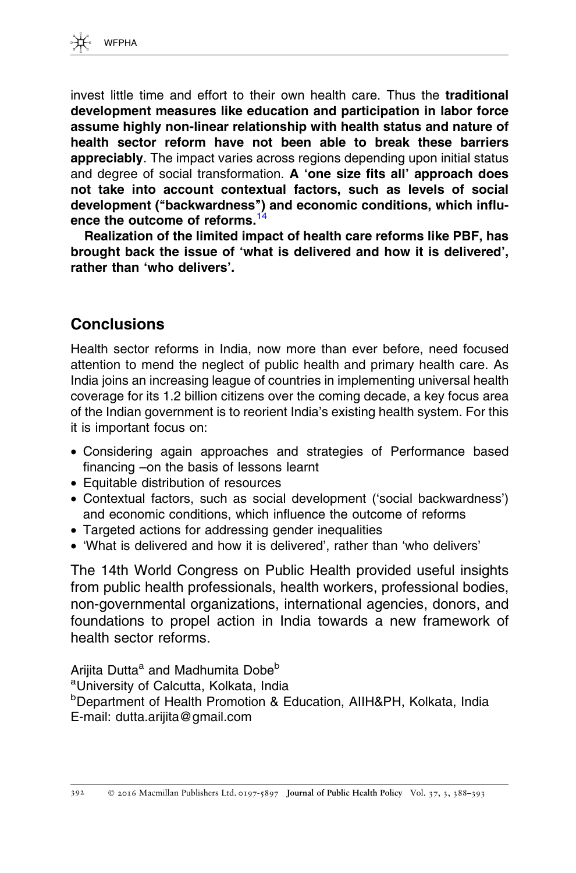

invest little time and effort to their own health care. Thus the traditional development measures like education and participation in labor force assume highly non-linear relationship with health status and nature of health sector reform have not been able to break these barriers **appreciably**. The impact varies across regions depending upon initial status and degree of social transformation. A 'one size fits all' approach does not take into account contextual factors, such as levels of social development (''backwardness'') and economic conditions, which influ-ence the outcome of reforms.<sup>[14](#page-5-0)</sup>

Realization of the limited impact of health care reforms like PBF, has brought back the issue of 'what is delivered and how it is delivered', rather than 'who delivers'.

### **Conclusions**

Health sector reforms in India, now more than ever before, need focused attention to mend the neglect of public health and primary health care. As India joins an increasing league of countries in implementing universal health coverage for its 1.2 billion citizens over the coming decade, a key focus area of the Indian government is to reorient India's existing health system. For this it is important focus on:

- Considering again approaches and strategies of Performance based financing –on the basis of lessons learnt
- Equitable distribution of resources
- Contextual factors, such as social development ('social backwardness') and economic conditions, which influence the outcome of reforms
- Targeted actions for addressing gender inequalities
- 'What is delivered and how it is delivered', rather than 'who delivers'

The 14th World Congress on Public Health provided useful insights from public health professionals, health workers, professional bodies, non-governmental organizations, international agencies, donors, and foundations to propel action in India towards a new framework of health sector reforms.

Arijita Dutta<sup>a</sup> and Madhumita Dobe<sup>b</sup> a University of Calcutta, Kolkata, India b Department of Health Promotion & Education, AIIH&PH, Kolkata, India E-mail: dutta.arijita@gmail.com